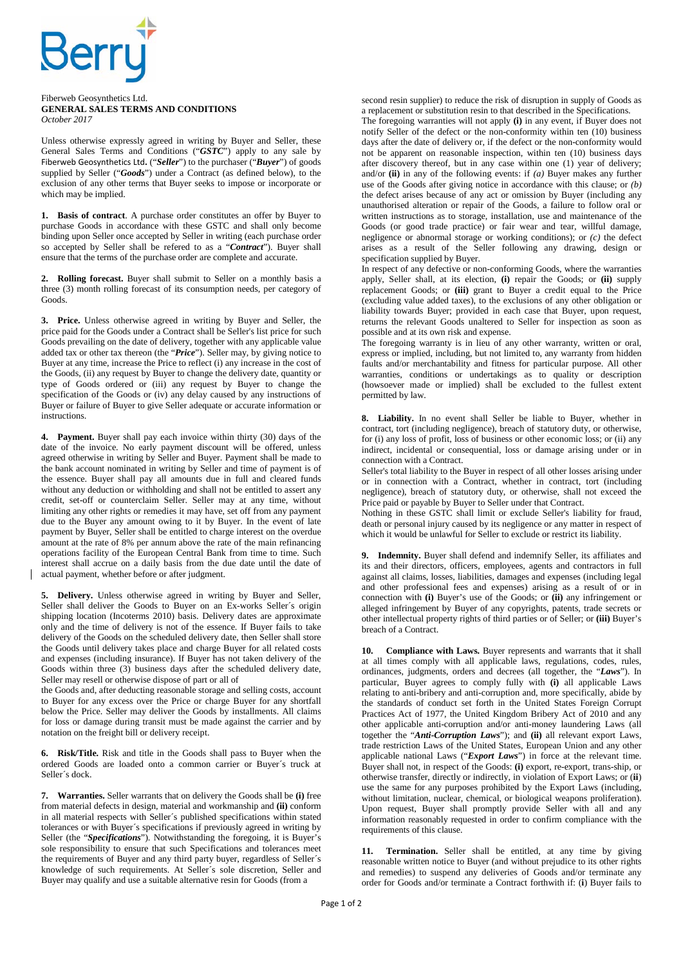

## Fiberweb Geosynthetics Ltd. **GENERAL SALES TERMS AND CONDITIONS**  *October 2017*

Unless otherwise expressly agreed in writing by Buyer and Seller, these General Sales Terms and Conditions ("*GSTC*") apply to any sale by Fiberweb Geosynthetics Ltd**.** ("*Seller*") to the purchaser ("*Buyer*") of goods supplied by Seller ("*Goods*") under a Contract (as defined below), to the exclusion of any other terms that Buyer seeks to impose or incorporate or which may be implied.

**1. Basis of contract**. A purchase order constitutes an offer by Buyer to purchase Goods in accordance with these GSTC and shall only become binding upon Seller once accepted by Seller in writing (each purchase order so accepted by Seller shall be refered to as a "*Contract*"). Buyer shall ensure that the terms of the purchase order are complete and accurate.

**2. Rolling forecast.** Buyer shall submit to Seller on a monthly basis a three (3) month rolling forecast of its consumption needs, per category of Goods.

**3. Price.** Unless otherwise agreed in writing by Buyer and Seller, the price paid for the Goods under a Contract shall be Seller's list price for such Goods prevailing on the date of delivery, together with any applicable value added tax or other tax thereon (the "*Price*"). Seller may, by giving notice to Buyer at any time, increase the Price to reflect (i) any increase in the cost of the Goods, (ii) any request by Buyer to change the delivery date, quantity or type of Goods ordered or (iii) any request by Buyer to change the specification of the Goods or (iv) any delay caused by any instructions of Buyer or failure of Buyer to give Seller adequate or accurate information or instructions.

**4. Payment.** Buyer shall pay each invoice within thirty (30) days of the date of the invoice. No early payment discount will be offered, unless agreed otherwise in writing by Seller and Buyer. Payment shall be made to the bank account nominated in writing by Seller and time of payment is of the essence. Buyer shall pay all amounts due in full and cleared funds without any deduction or withholding and shall not be entitled to assert any credit, set-off or counterclaim Seller. Seller may at any time, without limiting any other rights or remedies it may have, set off from any payment due to the Buyer any amount owing to it by Buyer. In the event of late payment by Buyer, Seller shall be entitled to charge interest on the overdue amount at the rate of 8% per annum above the rate of the main refinancing operations facility of the European Central Bank from time to time. Such interest shall accrue on a daily basis from the due date until the date of actual payment, whether before or after judgment.

**5. Delivery.** Unless otherwise agreed in writing by Buyer and Seller, Seller shall deliver the Goods to Buyer on an Ex-works Seller´s origin shipping location (Incoterms 2010) basis. Delivery dates are approximate only and the time of delivery is not of the essence. If Buyer fails to take delivery of the Goods on the scheduled delivery date, then Seller shall store the Goods until delivery takes place and charge Buyer for all related costs and expenses (including insurance). If Buyer has not taken delivery of the Goods within three (3) business days after the scheduled delivery date, Seller may resell or otherwise dispose of part or all of

the Goods and, after deducting reasonable storage and selling costs, account to Buyer for any excess over the Price or charge Buyer for any shortfall below the Price. Seller may deliver the Goods by installments. All claims for loss or damage during transit must be made against the carrier and by notation on the freight bill or delivery receipt.

**6. Risk/Title.** Risk and title in the Goods shall pass to Buyer when the ordered Goods are loaded onto a common carrier or Buyer´s truck at Seller´s dock.

**7. Warranties.** Seller warrants that on delivery the Goods shall be **(i)** free from material defects in design, material and workmanship and **(ii)** conform in all material respects with Seller´s published specifications within stated tolerances or with Buyer´s specifications if previously agreed in writing by Seller (the "*Specifications*"). Notwithstanding the foregoing, it is Buyer's sole responsibility to ensure that such Specifications and tolerances meet the requirements of Buyer and any third party buyer, regardless of Seller´s knowledge of such requirements. At Seller´s sole discretion, Seller and Buyer may qualify and use a suitable alternative resin for Goods (from a

second resin supplier) to reduce the risk of disruption in supply of Goods as a replacement or substitution resin to that described in the Specifications.

The foregoing warranties will not apply **(i)** in any event, if Buyer does not notify Seller of the defect or the non-conformity within ten (10) business days after the date of delivery or, if the defect or the non-conformity would not be apparent on reasonable inspection, within ten (10) business days after discovery thereof, but in any case within one (1) year of delivery; and/or **(ii)** in any of the following events: if *(a)* Buyer makes any further use of the Goods after giving notice in accordance with this clause; or *(b)* the defect arises because of any act or omission by Buyer (including any unauthorised alteration or repair of the Goods, a failure to follow oral or written instructions as to storage, installation, use and maintenance of the Goods (or good trade practice) or fair wear and tear, willful damage, negligence or abnormal storage or working conditions); or *(c)* the defect arises as a result of the Seller following any drawing, design or specification supplied by Buyer.

In respect of any defective or non-conforming Goods, where the warranties apply, Seller shall, at its election, **(i)** repair the Goods; or **(ii)** supply replacement Goods; or **(iii)** grant to Buyer a credit equal to the Price (excluding value added taxes), to the exclusions of any other obligation or liability towards Buyer; provided in each case that Buyer, upon request, returns the relevant Goods unaltered to Seller for inspection as soon as possible and at its own risk and expense.

The foregoing warranty is in lieu of any other warranty, written or oral, express or implied, including, but not limited to, any warranty from hidden faults and/or merchantability and fitness for particular purpose. All other warranties, conditions or undertakings as to quality or description (howsoever made or implied) shall be excluded to the fullest extent permitted by law.

**8. Liability.** In no event shall Seller be liable to Buyer, whether in contract, tort (including negligence), breach of statutory duty, or otherwise, for (i) any loss of profit, loss of business or other economic loss; or (ii) any indirect, incidental or consequential, loss or damage arising under or in connection with a Contract.

Seller's total liability to the Buyer in respect of all other losses arising under or in connection with a Contract, whether in contract, tort (including negligence), breach of statutory duty, or otherwise, shall not exceed the Price paid or payable by Buyer to Seller under that Contract.

Nothing in these GSTC shall limit or exclude Seller's liability for fraud, death or personal injury caused by its negligence or any matter in respect of which it would be unlawful for Seller to exclude or restrict its liability.

**9. Indemnity.** Buyer shall defend and indemnify Seller, its affiliates and its and their directors, officers, employees, agents and contractors in full against all claims, losses, liabilities, damages and expenses (including legal and other professional fees and expenses) arising as a result of or in connection with **(i)** Buyer's use of the Goods; or **(ii)** any infringement or alleged infringement by Buyer of any copyrights, patents, trade secrets or other intellectual property rights of third parties or of Seller; or **(iii)** Buyer's breach of a Contract.

**10. Compliance with Laws.** Buyer represents and warrants that it shall at all times comply with all applicable laws, regulations, codes, rules, ordinances, judgments, orders and decrees (all together, the "*Laws*"). In particular, Buyer agrees to comply fully with **(i)** all applicable Laws relating to anti-bribery and anti-corruption and, more specifically, abide by the standards of conduct set forth in the United States Foreign Corrupt Practices Act of 1977, the United Kingdom Bribery Act of 2010 and any other applicable anti-corruption and/or anti-money laundering Laws (all together the "*Anti-Corruption Laws*"); and **(ii)** all relevant export Laws, trade restriction Laws of the United States, European Union and any other applicable national Laws ("*Export Laws*") in force at the relevant time. Buyer shall not, in respect of the Goods: **(i)** export, re-export, trans-ship, or otherwise transfer, directly or indirectly, in violation of Export Laws; or (**ii**) use the same for any purposes prohibited by the Export Laws (including, without limitation, nuclear, chemical, or biological weapons proliferation). Upon request, Buyer shall promptly provide Seller with all and any information reasonably requested in order to confirm compliance with the requirements of this clause.

**11. Termination.** Seller shall be entitled, at any time by giving reasonable written notice to Buyer (and without prejudice to its other rights and remedies) to suspend any deliveries of Goods and/or terminate any order for Goods and/or terminate a Contract forthwith if: (**i**) Buyer fails to